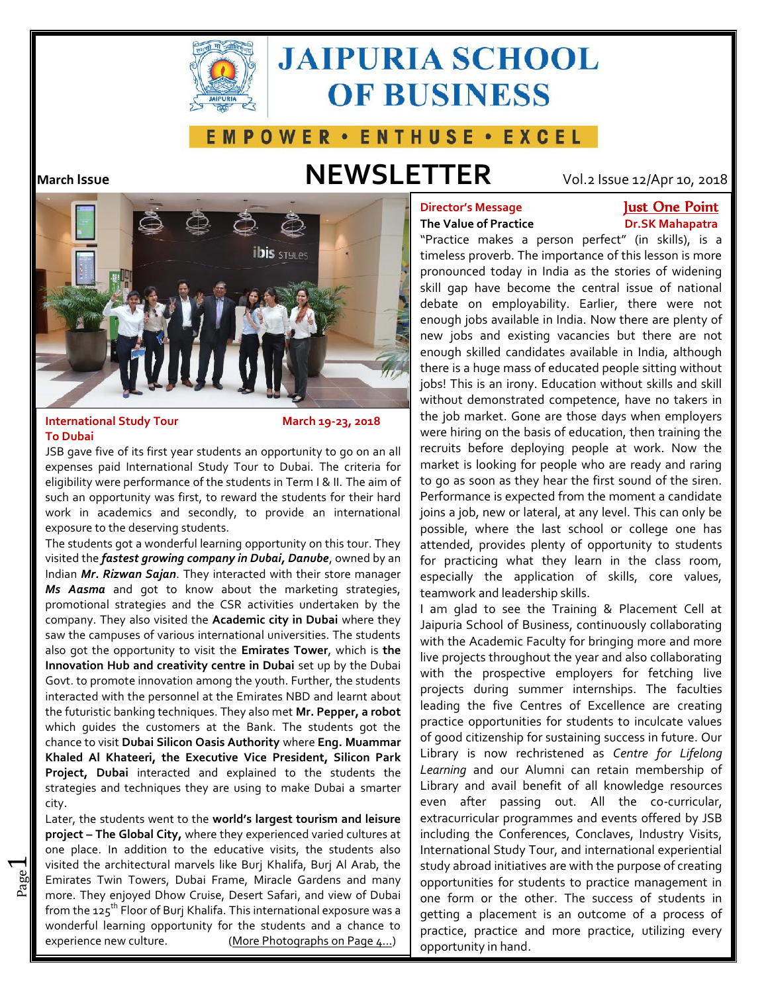

# **JAIPURIA SCHOOL OF BUSINESS**

## E M P O W E R · E N T H U S E · E X C E L

## **March Issue NEWSLETTER** Vol.2 Issue 12/Apr 10, 2018



## **International Study Tour** March 19-23, 2018 **To Dubai**

 $\overline{\phantom{0}}$ 

JSB gave five of its first year students an opportunity to go on an all expenses paid International Study Tour to Dubai. The criteria for eligibility were performance of the students in Term I & II. The aim of such an opportunity was first, to reward the students for their hard work in academics and secondly, to provide an international exposure to the deserving students.

The students got a wonderful learning opportunity on this tour. They visited the *fastest growing company in Dubai, Danube*, owned by an Indian *Mr. Rizwan Sajan*. They interacted with their store manager *Ms Aasma* and got to know about the marketing strategies, promotional strategies and the CSR activities undertaken by the company. They also visited the **Academic city in Dubai** where they saw the campuses of various international universities. The students also got the opportunity to visit the **Emirates Tower**, which is **the Innovation Hub and creativity centre in Dubai** set up by the Dubai Govt. to promote innovation among the youth. Further, the students interacted with the personnel at the Emirates NBD and learnt about the futuristic banking techniques. They also met **Mr. Pepper, a robot** which guides the customers at the Bank. The students got the chance to visit **Dubai Silicon Oasis Authority** where **Eng. Muammar Khaled Al Khateeri, the Executive Vice President, Silicon Park Project, Dubai** interacted and explained to the students the strategies and techniques they are using to make Dubai a smarter city.

and Emirates Twin Towers, Dubai Frame, Miracle Gardens and many oppo visited the architectural marvels like Burj Khalifa, Burj Al Arab, the  $\; \mid \;$ stud $\;$ Later, the students went to the **world's largest tourism and leisure project – The Global City,** where they experienced varied cultures at one place. In addition to the educative visits, the students also more. They enjoyed Dhow Cruise, Desert Safari, and view of Dubai from the  $125^{th}$  Floor of Burj Khalifa. This international exposure was a wonderful learning opportunity for the students and a chance to experience new culture. (More Photographs on Page 4…)

## **Director's Message Just One Point**

## **The Value of Practice <b>Dr.SK Mahapatra**

"Practice makes a person perfect" (in skills), is a timeless proverb. The importance of this lesson is more pronounced today in India as the stories of widening skill gap have become the central issue of national debate on employability. Earlier, there were not enough jobs available in India. Now there are plenty of new jobs and existing vacancies but there are not enough skilled candidates available in India, although there is a huge mass of educated people sitting without jobs! This is an irony. Education without skills and skill without demonstrated competence, have no takers in the job market. Gone are those days when employers were hiring on the basis of education, then training the recruits before deploying people at work. Now the market is looking for people who are ready and raring to go as soon as they hear the first sound of the siren. Performance is expected from the moment a candidate joins a job, new or lateral, at any level. This can only be possible, where the last school or college one has attended, provides plenty of opportunity to students for practicing what they learn in the class room, especially the application of skills, core values, teamwork and leadership skills.

I am glad to see the Training & Placement Cell at Jaipuria School of Business, continuously collaborating with the Academic Faculty for bringing more and more live projects throughout the year and also collaborating with the prospective employers for fetching live projects during summer internships. The faculties leading the five Centres of Excellence are creating practice opportunities for students to inculcate values of good citizenship for sustaining success in future. Our Library is now rechristened as *Centre for Lifelong Learning* and our Alumni can retain membership of Library and avail benefit of all knowledge resources even after passing out. All the co-curricular, extracurricular programmes and events offered by JSB including the Conferences, Conclaves, Industry Visits, International Study Tour, and international experiential study abroad initiatives are with the purpose of creating opportunities for students to practice management in one form or the other. The success of students in getting a placement is an outcome of a process of practice, practice and more practice, utilizing every opportunity in hand.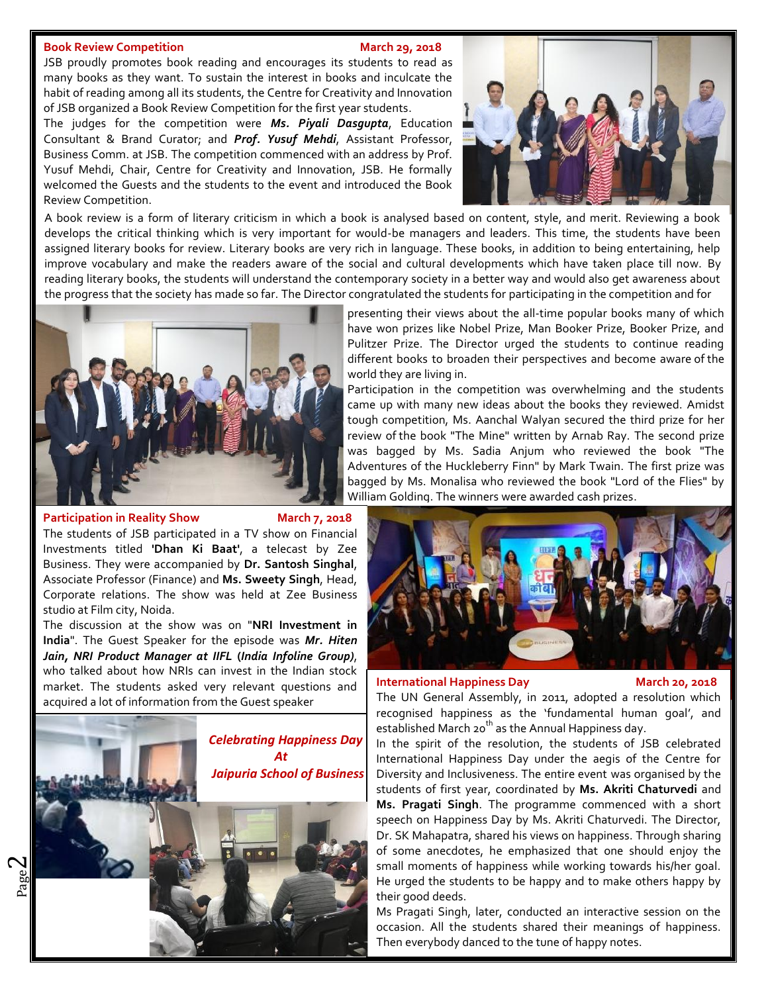### **Book Review Competition March** 29, 2018

JSB proudly promotes book reading and encourages its students to read as many books as they want. To sustain the interest in books and inculcate the habit of reading among all its students, the Centre for Creativity and Innovation of JSB organized a Book Review Competition for the first year students.

Vusuf Mehdi, Chair, Centre for Creativity and Innovation, JSB. He formally The judges for the competition were *Ms. Piyali Dasgupta*, Education Consultant & Brand Curator; and *Prof. Yusuf Mehdi*, Assistant Professor, Business Comm. at JSB. The competition commenced with an address by Prof. welcomed the Guests and the students to the event and introduced the Book Review Competition.



.A book review is a form of literary criticism in which a book is analysed based on content, style, and merit. Reviewing a book develops the critical thinking which is very important for would-be managers and leaders. This time, the students have been assigned literary books for review. Literary books are very rich in language. These books, in addition to being entertaining, help improve vocabulary and make the readers aware of the social and cultural developments which have taken place till now. By reading literary books, the students will understand the contemporary society in a better way and would also get awareness about the progress that the society has made so far. The Director congratulated the students for participating in the competition and for



**Participation in Reality Show March 7, 2018** 

The students of JSB participated in a TV show on Financial Investments titled **'Dhan Ki Baat'**, a telecast by Zee Business. They were accompanied by **Dr. Santosh Singhal**, Associate Professor (Finance) and **Ms.Sweety Singh**, Head, Corporate relations. The show was held at Zee Business studio at Film city, Noida.

The discussion at the show was on "**NRI Investment in India**". The Guest Speaker for the episode was *Mr. Hiten Jain, NRI Product Manager at IIFL* **(***India Infoline Group)*, who talked about how NRIs can invest in the Indian stock market. The students asked very relevant questions and acquired a lot of information from the Guest speaker



presenting their views about the all-time popular books many of which have won prizes like Nobel Prize, Man Booker Prize, Booker Prize, and Pulitzer Prize. The Director urged the students to continue reading different books to broaden their perspectives and become aware of the world they are living in.

Participation in the competition was overwhelming and the students came up with many new ideas about the books they reviewed. Amidst tough competition, Ms. Aanchal Walyan secured the third prize for her review of the book "The Mine" written by Arnab Ray. The second prize was bagged by Ms. Sadia Anjum who reviewed the book "The Adventures of the Huckleberry Finn" by Mark Twain. The first prize was bagged by Ms. Monalisa who reviewed the book "Lord of the Flies" by William Golding. The winners were awarded cash prizes.



## **International Happiness Day March 20, 2018**

The UN General Assembly, in 2011, adopted a resolution which recognised happiness as the 'fundamental human goal', and established March 20<sup>th</sup> as the Annual Happiness day.

**Ms. Pragati Singh**. The programme commenced with a short **1** In the spirit of the resolution, the students of JSB celebrated International Happiness Day under the aegis of the Centre for Diversity and Inclusiveness. The entire event was organised by the students of first year, coordinated by **Ms. Akriti Chaturvedi** and speech on Happiness Day by Ms. Akriti Chaturvedi. The Director, Dr. SK Mahapatra, shared his views on happiness. Through sharing of some anecdotes, he emphasized that one should enjoy the small moments of happiness while working towards his/her goal. He urged the students to be happy and to make others happy by their good deeds.

Ms Pragati Singh, later, conducted an interactive session on the occasion. All the students shared their meanings of happiness. Then everybody danced to the tune of happy notes.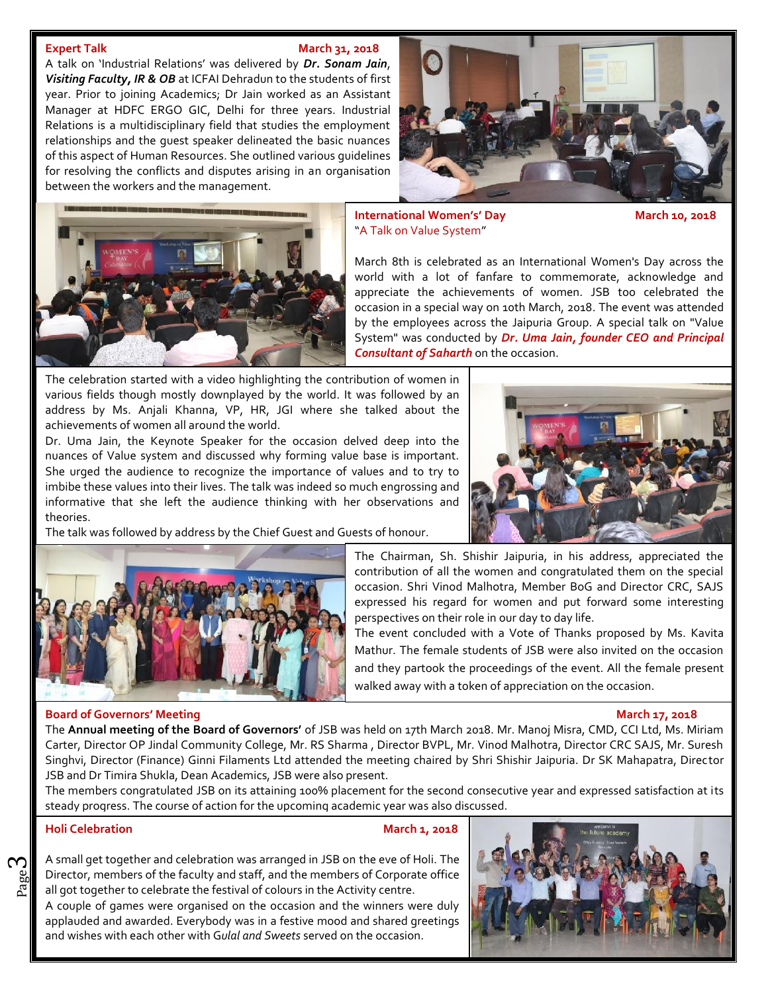### **Expert Talk March 31, 2018**

A talk on 'Industrial Relations' was delivered by *Dr. Sonam Jain*, *Visiting Faculty, IR & OB* at ICFAI Dehradun to the students of first year. Prior to joining Academics; Dr Jain worked as an Assistant Manager at HDFC ERGO GIC, Delhi for three years. Industrial Relations is a multidisciplinary field that studies the employment relationships and the guest speaker delineated the basic nuances of this aspect of Human Resources. She outlined various guidelines for resolving the conflicts and disputes arising in an organisation between the workers and the management.





**International Women's' Day March 10, 2018** "A Talk on Value System"

March 8th is celebrated as an International Women's Day across the world with a lot of fanfare to commemorate, acknowledge and appreciate the achievements of women. JSB too celebrated the occasion in a special way on 10th March, 2018. The event was attended by the employees across the Jaipuria Group. A special talk on "Value System" was conducted by *Dr. Uma Jain, founder CEO and Principal Consultant of Saharth* on the occasion.

The celebration started with a video highlighting the contribution of women in various fields though mostly downplayed by the world. It was followed by an address by Ms. Anjali Khanna, VP, HR, JGI where she talked about the achievements of women all around the world.

Dr. Uma Jain, the Keynote Speaker for the occasion delved deep into the nuances of Value system and discussed why forming value base is important. She urged the audience to recognize the importance of values and to try to imbibe these values into their lives. The talk was indeed so much engrossing and informative that she left the audience thinking with her observations and theories.



The talk was followed by address by the Chief Guest and Guests of honour.



## The Chairman, Sh. Shishir Jaipuria, in his address, appreciated the contribution of all the women and congratulated them on the special occasion. Shri Vinod Malhotra, Member BoG and Director CRC, SAJS expressed his regard for women and put forward some interesting perspectives on their role in our day to day life.

The event concluded with a Vote of Thanks proposed by Ms. Kavita Mathur. The female students of JSB were also invited on the occasion and they partook the proceedings of the event. All the female present walked away with a token of appreciation on the occasion.

### **Board of Governors' Meeting March 17, 2018**

The **Annual meeting of the Board of Governors'** of JSB was held on 17th March 2018. Mr. Manoj Misra, CMD, CCI Ltd, Ms. Miriam Carter, Director OP Jindal Community College, Mr. RS Sharma , Director BVPL, Mr. Vinod Malhotra, Director CRC SAJS, Mr. Suresh Singhvi, Director (Finance) Ginni Filaments Ltd attended the meeting chaired by Shri Shishir Jaipuria. Dr SK Mahapatra, Director JSB and Dr Timira Shukla, Dean Academics, JSB were also present.

The members congratulated JSB on its attaining 100% placement for the second consecutive year and expressed satisfaction at its steady progress. The course of action for the upcoming academic year was also discussed.

## **Holi Celebration March 1, 2018**

ო

 $\frac{20}{20}$  Director, members of the faculty and staff, and the members of Corporate of  $\frac{20}{20}$  all got together to celebrate the festival of colours in the Activity centre. Director, members of the faculty and staff, and the members of Corporate office  $\vert$   $\vert$   $\vert$   $\vert$ A small get together and celebration was arranged in JSB on the eve of Holi. The

A couple of games were organised on the occasion and the winners were duly applauded and awarded. Everybody was in a festive mood and shared greetings and wishes with each other with G*ulal and Sweets* served on the occasion.